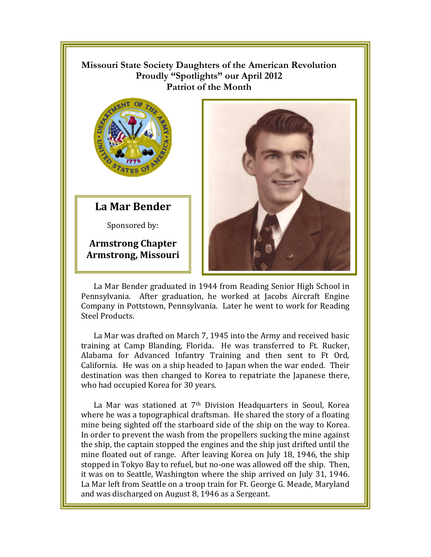## **Missouri State Society Daughters of the American Revolution**  Proudly "Spotlights" our April 2012 **Patriot of the Month**



**La Mar Bender** 

Sponsored by:

**Armstrong Chapter Armstrong, Missouri** 



Pennsylvania. After graduation, he worked at Jacobs Aircraft Engine Company in Pottstown, Pennsylvania. Later he went to work for Reading Steel Products.

La Mar was drafted on March 7, 1945 into the Army and received basic training at Camp Blanding, Florida. He was transferred to Ft. Rucker, Alabama for Advanced Infantry Training and then sent to Ft Ord, California. He was on a ship headed to Japan when the war ended. Their destination was then changed to Korea to repatriate the Japanese there, who had occupied Korea for 30 years.

La Mar was stationed at 7<sup>th</sup> Division Headquarters in Seoul, Korea where he was a topographical draftsman. He shared the story of a floating mine being sighted off the starboard side of the ship on the way to Korea. In order to prevent the wash from the propellers sucking the mine against the ship, the captain stopped the engines and the ship just drifted until the mine floated out of range. After leaving Korea on July 18, 1946, the ship stopped in Tokyo Bay to refuel, but no-one was allowed off the ship. Then, it was on to Seattle, Washington where the ship arrived on July 31, 1946. La Mar left from Seattle on a troop train for Ft. George G. Meade, Maryland and was discharged on August 8, 1946 as a Sergeant.